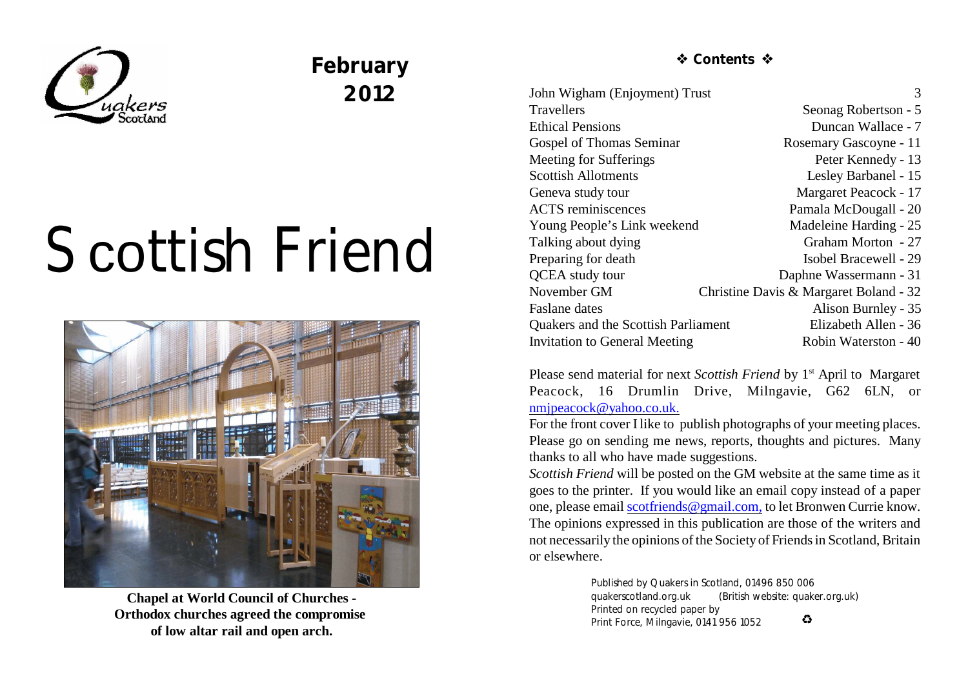

# **February 2012**

# Scottish Friend



**Chapel at World Council of Churches - Orthodox churches agreed the compromise of low altar rail and open arch.**

 $\triangle$  Contents  $\triangle$ 

John Wigham (Enjoyment) Trust 3 Travellers Seonag Robertson - 5 Ethical Pensions Duncan Wallace - 7 Gospel of Thomas Seminar Rosemary Gascoyne - 11 Meeting for Sufferings Peter Kennedy - 13 Scottish Allotments Lesley Barbanel - 15 Geneva study tour Margaret Peacock - 17 ACTS reminiscences Pamala McDougall - 20 Young People's Link weekend Madeleine Harding - 25 Talking about dying Graham Morton - 27 Preparing for death Isobel Bracewell - 29 OCEA study tour Daphne Wassermann - 31 November GM Christine Davis & Margaret Boland - 32 Faslane dates Alison Burnley - 35 Quakers and the Scottish Parliament Elizabeth Allen - 36 Invitation to General Meeting Robin Waterston - 40

Please send material for next *Scottish Friend* by 1<sup>st</sup> April to Margaret Peacock, 16 Drumlin Drive, Milngavie, G62 6LN, or [nmjpeacock@yahoo.co.uk.](mailto:nmjpeacock@yahoo.co.uk.)

For the front cover Ilike to publish photographs of your meeting places. Please go on sending me news, reports, thoughts and pictures. Many thanks to all who have made suggestions.

*Scottish Friend* will be posted on the GM website at the same time as it goes to the printer. If you would like an email copy instead of a paper one, please email [scotfriends@gmail.com,](mailto:scotfriends@aol.com,) to let Bronwen Currie know. The opinions expressed in this publication are those of the writers and not necessarily the opinions of the Society of Friends in Scotland, Britain or elsewhere.

> Published by Quakers in Scotland, 01496 850 006 quakerscotland.org.uk (British website: quaker.org.uk) Printed on recycled paper by  $\bullet$ Print Force, Milngavie, 0141 956 1052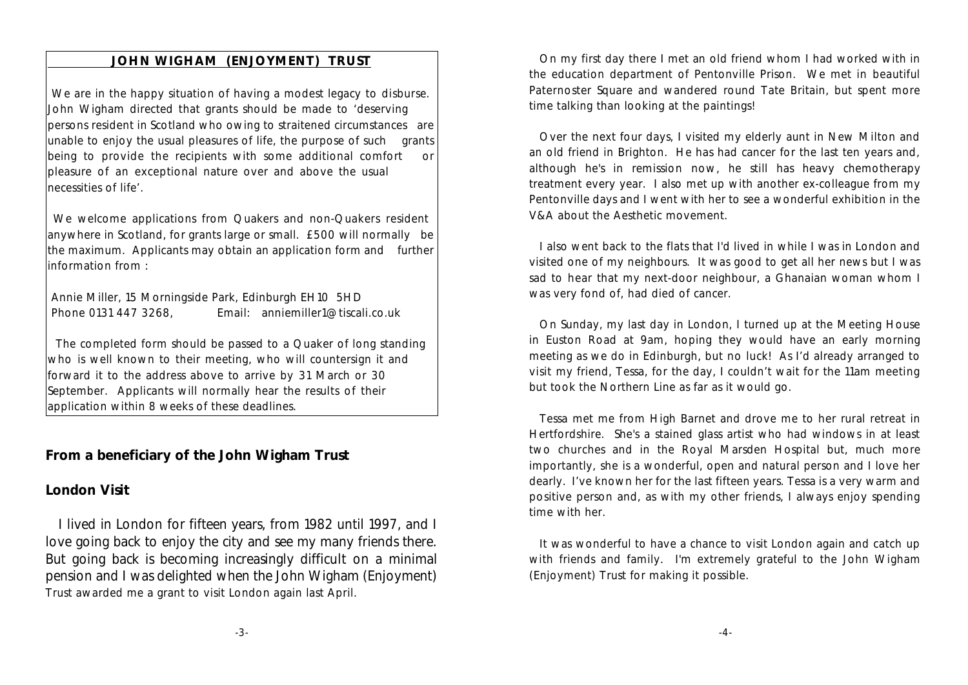## **JOHN WIGHAM (ENJOYMENT) TRUST**

We are in the happy situation of having a modest legacy to disburse. John Wigham directed that grants should be made to 'deserving persons resident in Scotland who owing to straitened circumstances are unable to enjoy the usual pleasures of life, the purpose of such grants being to provide the recipients with some additional comfort or pleasure of an exceptional nature over and above the usual necessities of life'.

We welcome applications from Quakers and non-Quakers resident anywhere in Scotland, for grants large or small. £500 will normally be the maximum. Applicants may obtain an application form and further information from :

 Annie Miller, 15 Morningside Park, Edinburgh EH10 5HD Phone 0131 447 3268, Email: anniemiller1@tiscali.co.uk

 The completed form should be passed to a Quaker of long standing who is well known to their meeting, who will countersign it and forward it to the address above to arrive by 31 March or 30 September. Applicants will normally hear the results of their application within 8 weeks of these deadlines.

**From a beneficiary of the John Wigham Trust**

### **London Visit**

 I lived in London for fifteen years, from 1982 until 1997, and I love going back to enjoy the city and see my many friends there. But going back is becoming increasingly difficult on a minimal pension and I was delighted when the John Wigham (Enjoyment) Trust awarded me a grant to visit London again last April.

On my first day there I met an old friend whom I had worked with in the education department of Pentonville Prison. We met in beautiful Paternoster Square and wandered round Tate Britain, but spent more time talking than looking at the paintings!

Over the next four days, I visited my elderly aunt in New Milton and an old friend in Brighton. He has had cancer for the last ten years and, although he's in remission now, he still has heavy chemotherapy treatment every year. I also met up with another ex-colleague from my Pentonville days and I went with her to see a wonderful exhibition in the V&A about the Aesthetic movement.

I also went back to the flats that I'd lived in while I was in London and visited one of my neighbours. It was good to get all her news but I was sad to hear that my next-door neighbour, a Ghanaian woman whom I was very fond of, had died of cancer.

On Sunday, my last day in London, I turned up at the Meeting House in Euston Road at 9am, hoping they would have an early morning meeting as we do in Edinburgh, but no luck! As I'd already arranged to visit my friend, Tessa, for the day, I couldn't wait for the 11am meeting but took the Northern Line as far as it would go.

Tessa met me from High Barnet and drove me to her rural retreat in Hertfordshire. She's a stained glass artist who had windows in at least two churches and in the Royal Marsden Hospital but, much more importantly, she is a wonderful, open and natural person and I love her dearly. I've known her for the last fifteen years. Tessa is a very warm and positive person and, as with my other friends, I always enjoy spending time with her.

It was wonderful to have a chance to visit London again and catch up with friends and family. I'm extremely grateful to the John Wigham (Enjoyment) Trust for making it possible.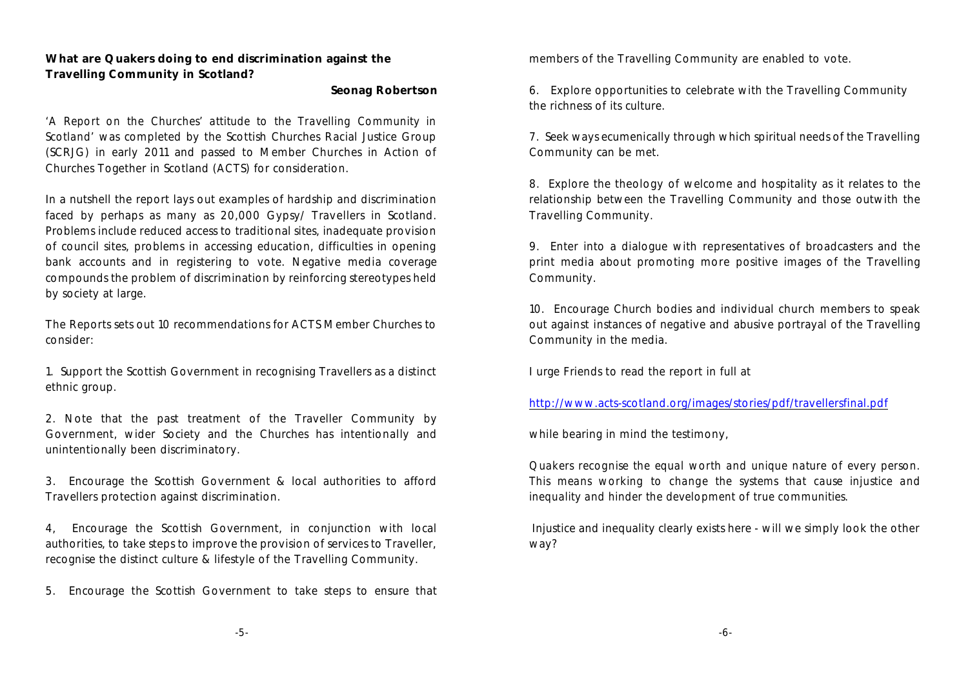**What are Quakers doing to end discrimination against the Travelling Community in Scotland?**

**Seonag Robertson**

*'A Report on the Churches' attitude to the Travelling Community in Scotland'* was completed by the Scottish Churches Racial Justice Group (SCRJG) in early 2011 and passed to Member Churches in Action of Churches Together in Scotland (ACTS) for consideration.

In a nutshell the report lays out examples of hardship and discrimination faced by perhaps as many as 20,000 Gypsy/ Travellers in Scotland. Problems include reduced access to traditional sites, inadequate provision of council sites, problems in accessing education, difficulties in opening bank accounts and in registering to vote. Negative media coverage compounds the problem of discrimination by reinforcing stereotypes held by society at large.

The Reports sets out 10 recommendations for ACTS Member Churches to consider:

1. Support the Scottish Government in recognising Travellers as a distinct ethnic group.

2. Note that the past treatment of the Traveller Community by Government, wider Society and the Churches has intentionally and unintentionally been discriminatory.

3. Encourage the Scottish Government & local authorities to afford Travellers protection against discrimination.

4, Encourage the Scottish Government, in conjunction with local authorities, to take steps to improve the provision of services to Traveller, recognise the distinct culture & lifestyle of the Travelling Community.

5. Encourage the Scottish Government to take steps to ensure that

members of the Travelling Community are enabled to vote.

6. Explore opportunities to celebrate with the Travelling Community the richness of its culture.

7. Seek ways ecumenically through which spiritual needs of the Travelling Community can be met.

8. Explore the theology of welcome and hospitality as it relates to the relationship between the Travelling Community and those outwith the Travelling Community.

9. Enter into a dialogue with representatives of broadcasters and the print media about promoting more positive images of the Travelling Community.

10. Encourage Church bodies and individual church members to speak out against instances of negative and abusive portrayal of the Travelling Community in the media.

I urge Friends to read the report in full at

<http://www.acts-scotland.org/images/stories/pdf/travellersfinal.pdf>

while bearing in mind the testimony,

*Quakers recognise the equal worth and unique nature of every person. This means working to change the systems that cause injustice and inequality and hinder the development of true communities.*

Injustice and inequality clearly exists here - will we simply look the other way?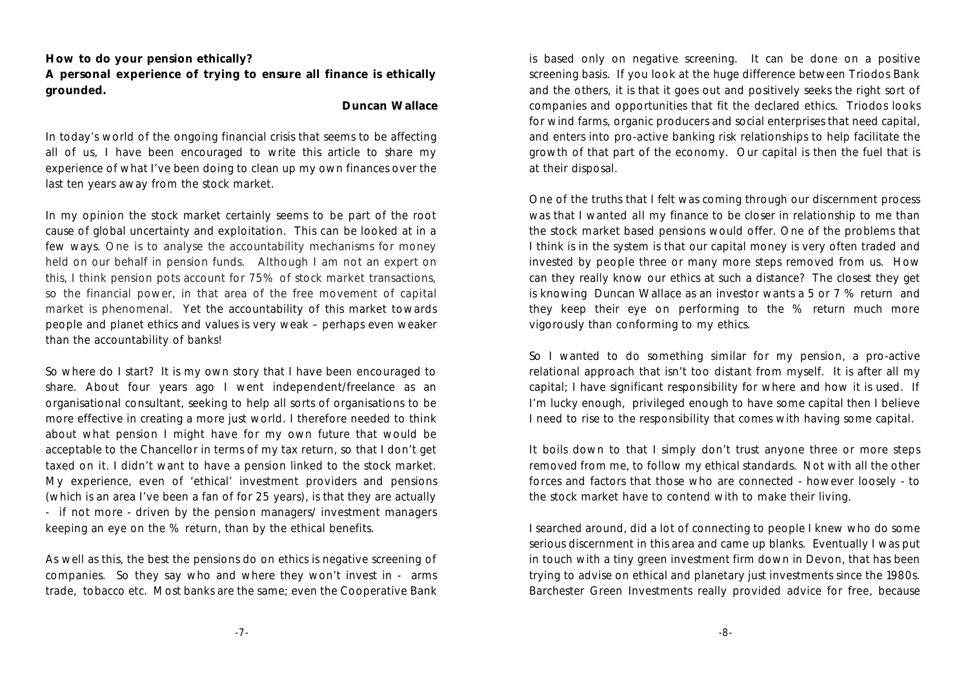**How to do your pension ethically?**

**A personal experience of trying to ensure all finance is ethically grounded.**

#### **Duncan Wallace**

In today's world of the ongoing financial crisis that seems to be affecting all of us, I have been encouraged to write this article to share my experience of what I've been doing to clean up my own finances over the last ten years away from the stock market.

In my opinion the stock market certainly seems to be part of the root cause of global uncertainty and exploitation. This can be looked at in a few ways. One is to analyse the accountability mechanisms for money held on our behalf in pension funds. Although I am not an expert on this, I think pension pots account for 75% of stock market transactions, so the financial power, in that area of the free movement of capital market is phenomenal. Yet the accountability of this market towards people and planet ethics and values is very weak – perhaps even weaker than the accountability of banks!

So where do I start? It is my own story that I have been encouraged to share. About four years ago I went independent/freelance as an organisational consultant, seeking to help all sorts of organisations to be more effective in creating a more just world. I therefore needed to think about what pension I might have for my own future that would be acceptable to the Chancellor in terms of my tax return, so that I don't get taxed on it. I didn't want to have a pension linked to the stock market. My experience, even of 'ethical' investment providers and pensions (which is an area I've been a fan of for 25 years), is that they are actually - if not more - driven by the pension managers/ investment managers keeping an eye on the % return, than by the ethical benefits.

As well as this, the best the pensions do on ethics is negative screening of companies. So they say who and where they won't invest in - arms trade, tobacco etc. Most banks are the same; even the Cooperative Bank is based only on negative screening. It can be done on a positive screening basis. If you look at the huge difference between Triodos Bank and the others, it is that it goes out and positively seeks the right sort of companies and opportunities that fit the declared ethics. Triodos looks for wind farms, organic producers and social enterprises that need capital, and enters into pro-active banking risk relationships to help facilitate the growth of that part of the economy. Our capital is then the fuel that is at their disposal.

One of the truths that I felt was coming through our discernment process was that I wanted all my finance to be closer in relationship to me than the stock market based pensions would offer. One of the problems that I think is in the system is that our capital money is very often traded and invested by people three or many more steps removed from us. How can they really know our ethics at such a distance? The closest they get is knowing Duncan Wallace as an investor wants a 5 or 7 % return and they keep their eye on performing to the % return much more vigorously than conforming to my ethics.

So I wanted to do something similar for my pension, a pro-active relational approach that isn't too distant from myself. It is after all my capital; I have significant responsibility for where and how it is used. If I'm lucky enough, privileged enough to have some capital then I believe I need to rise to the responsibility that comes with having some capital.

It boils down to that I simply don't trust anyone three or more steps removed from me, to follow my ethical standards. Not with all the other forces and factors that those who are connected - however loosely - to the stock market have to contend with to make their living.

I searched around, did a lot of connecting to people I knew who do some serious discernment in this area and came up blanks. Eventually I was put in touch with a tiny green investment firm down in Devon, that has been trying to advise on ethical and planetary just investments since the 1980s. Barchester Green Investments really provided advice for free, because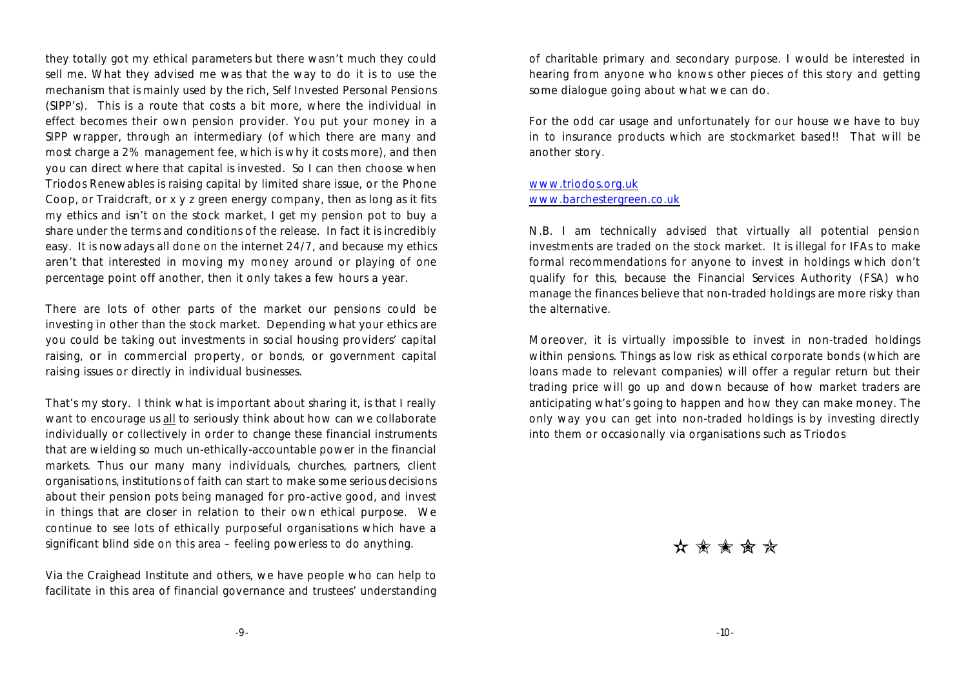they totally got my ethical parameters but there wasn't much they could sell me. What they advised me was that the way to do it is to use the mechanism that is mainly used by the rich, Self Invested Personal Pensions (SIPP's). This is a route that costs a bit more, where the individual in effect becomes their own pension provider. You put your money in a SIPP wrapper, through an intermediary (of which there are many and most charge a 2% management fee, which is why it costs more), and then you can direct where that capital is invested. So I can then choose when Triodos Renewables is raising capital by limited share issue, or the Phone Coop, or Traidcraft, or x y z green energy company, then as long as it fits my ethics and isn't on the stock market, I get my pension pot to buy a share under the terms and conditions of the release. In fact it is incredibly easy. It is nowadays all done on the internet 24/7, and because my ethics aren't that interested in moving my money around or playing of one percentage point off another, then it only takes a few hours a year.

There are lots of other parts of the market our pensions could be investing in other than the stock market. Depending what your ethics are you could be taking out investments in social housing providers' capital raising, or in commercial property, or bonds, or government capital raising issues or directly in individual businesses.

That's my story. I think what is important about sharing it, is that I really want to encourage us all to seriously think about how can we collaborate individually or collectively in order to change these financial instruments that are wielding so much un-ethically-accountable power in the financial markets. Thus our many many individuals, churches, partners, client organisations, institutions of faith can start to make some serious decisions about their pension pots being managed for pro-active good, and invest in things that are closer in relation to their own ethical purpose. We continue to see lots of ethically purposeful organisations which have a significant blind side on this area – feeling powerless to do anything.

Via the Craighead Institute and others, we have people who can help to facilitate in this area of financial governance and trustees' understanding of charitable primary and secondary purpose. I would be interested in hearing from anyone who knows other pieces of this story and getting some dialogue going about what we can do.

For the odd car usage and unfortunately for our house we have to buy in to insurance products which are stockmarket based!! That will be another story.

#### [www.triodos.org.uk](http://www.triodos.org.uk) [www.barchestergreen.co.uk](http://www.barchestergreen.co.uk)

N.B. I am technically advised that virtually all potential pension investments are traded on the stock market. It is illegal for IFAs to make formal recommendations for anyone to invest in holdings which don't qualify for this, because the Financial Services Authority (FSA) who manage the finances believe that non-traded holdings are more risky than the alternative.

Moreover, it is virtually impossible to invest in non-traded holdings within pensions. Things as low risk as ethical corporate bonds (which are loans made to relevant companies) will offer a regular return but their trading price will go up and down because of how market traders are anticipating what's going to happen and how they can make money. The only way you can get into non-traded holdings is by investing directly into them or occasionally via organisations such as Triodos

 $\bigstar \star \star \star \star$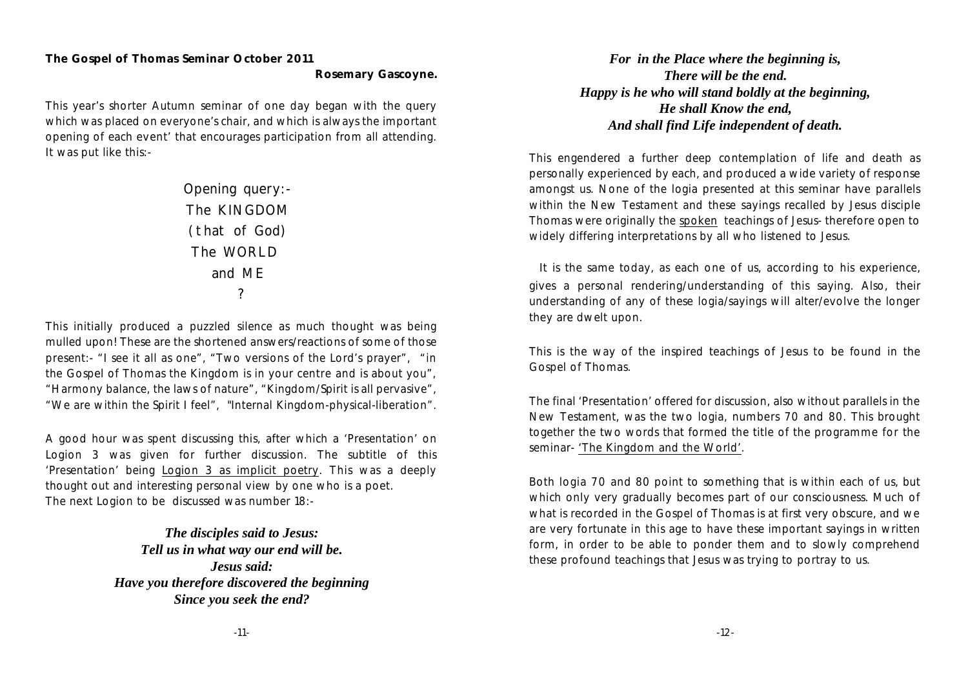# **The Gospel of Thomas Seminar October 2011**

**Rosemary Gascoyne.**

This year's shorter Autumn seminar of one day began with the query which was placed on everyone's chair, and which is always the important opening of each event' that encourages participation from all attending. It was put like this:-

> *Opening query:- The KINGDOM (that of God) The WORLD and ME ?*

This initially produced a puzzled silence as much thought was being mulled upon! These are the shortened answers/reactions of some of those present:- "I see it all as one", "Two versions of the Lord's prayer", "in the Gospel of Thomas the Kingdom is in your centre and is about you", "Harmony balance, the laws of nature", "Kingdom/Spirit is all pervasive", "We are within the Spirit I feel", "Internal Kingdom-physical-liberation".

A good hour was spent discussing this, after which a 'Presentation' on Logion 3 was given for further discussion. The subtitle of this 'Presentation' being Logion 3 as implicit poetry. This was a deeply thought out and interesting personal view by one who is a poet. The next Logion to be discussed was number 18:-

> *The disciples said to Jesus: Tell us in what way our end will be. Jesus said: Have you therefore discovered the beginning Since you seek the end?*

*For in the Place where the beginning is, There will be the end. Happy is he who will stand boldly at the beginning, He shall Know the end, And shall find Life independent of death.*

This engendered a further deep contemplation of life and death as personally experienced by each, and produced a wide variety of response amongst us. None of the logia presented at this seminar have parallels within the New Testament and these sayings recalled by Jesus disciple Thomas were originally the spoken teachings of Jesus- therefore open to widely differing interpretations by all who listened to Jesus.

It is the same today, as each one of us, according to his experience, gives a personal rendering/understanding of this saying. Also, their understanding of any of these logia/sayings will alter/evolve the longer they are dwelt upon.

This is the way of the inspired teachings of Jesus to be found in the Gospel of Thomas.

The final 'Presentation' offered for discussion, also without parallels in the New Testament, was the two logia, numbers 70 and 80. This brought together the two words that formed the title of the programme for the seminar- 'The Kingdom and the World'.

Both logia 70 and 80 point to something that is within each of us, but which only very gradually becomes part of our consciousness. Much of what is recorded in the Gospel of Thomas is at first very obscure, and we are very fortunate in this age to have these important sayings in written form, in order to be able to ponder them and to slowly comprehend these profound teachings that Jesus was trying to portray to us.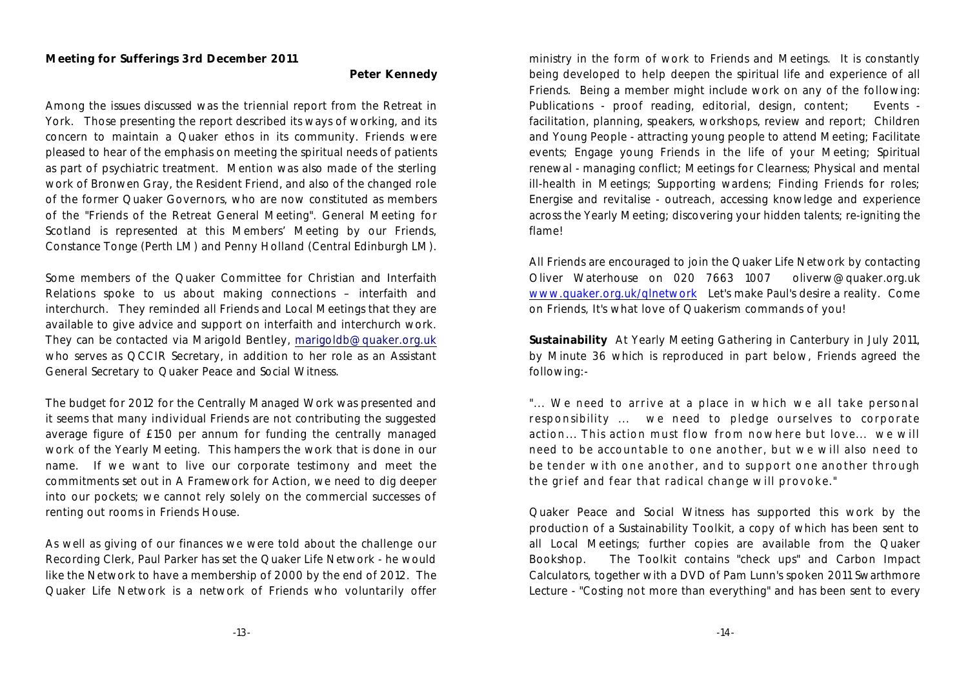**Peter Kennedy**

Among the issues discussed was the triennial report from the Retreat in York. Those presenting the report described its ways of working, and its concern to maintain a Quaker ethos in its community. Friends were pleased to hear of the emphasis on meeting the spiritual needs of patients as part of psychiatric treatment. Mention was also made of the sterling work of Bronwen Gray, the Resident Friend, and also of the changed role of the former Quaker Governors, who are now constituted as members of the "Friends of the Retreat General Meeting". General Meeting for Scotland is represented at this Members' Meeting by our Friends, Constance Tonge (Perth LM) and Penny Holland (Central Edinburgh LM).

Some members of the Quaker Committee for Christian and Interfaith Relations spoke to us about making connections – interfaith and interchurch. They reminded all Friends and Local Meetings that they are available to give advice and support on interfaith and interchurch work. They can be contacted via Marigold Bentley, [marigoldb@quaker.org.uk](mailto:marigoldb@quaker.org.uk) who serves as QCCIR Secretary, in addition to her role as an Assistant General Secretary to Quaker Peace and Social Witness.

The budget for 2012 for the Centrally Managed Work was presented and it seems that many individual Friends are not contributing the suggested average figure of £150 per annum for funding the centrally managed work of the Yearly Meeting. This hampers the work that is done in our name. If we want to live our corporate testimony and meet the commitments set out in A Framework for Action, we need to dig deeper into our pockets; we cannot rely solely on the commercial successes of renting out rooms in Friends House.

As well as giving of our finances we were told about the challenge our Recording Clerk, Paul Parker has set the Quaker Life Network - he would like the Network to have a membership of 2000 by the end of 2012. The Quaker Life Network is a network of Friends who voluntarily offer

ministry in the form of work to Friends and Meetings. It is constantly being developed to help deepen the spiritual life and experience of all Friends. Being a member might include work on any of the following: Publications - proof reading, editorial, design, content; Events facilitation, planning, speakers, workshops, review and report; Children and Young People - attracting young people to attend Meeting; Facilitate events; Engage young Friends in the life of your Meeting; Spiritual renewal - managing conflict; Meetings for Clearness; Physical and mental ill-health in Meetings; Supporting wardens; Finding Friends for roles; Energise and revitalise - outreach, accessing knowledge and experience across the Yearly Meeting; discovering your hidden talents; re-igniting the flame!

All Friends are encouraged to join the Quaker Life Network by contacting Oliver Waterhouse on 020 7663 1007 oliverw@quaker.org.uk [www.quaker.org.uk/qlnetwork](http://www.quaker.org.uk/qlnetwork) Let's make Paul's desire a reality. Come on Friends, It's what love of Quakerism commands of you!

**Sustainability** At Yearly Meeting Gathering in Canterbury in July 2011, by Minute 36 which is reproduced in part below, Friends agreed the following:-

*"... W e need to arriv e at a place in w hich w e all take personal responsibility* ... we need to pledge ourselves to corporate *action... T his action m ust flow from now here but lov e... w e w ill need to be account able to one another, but w e w ill also need to be t ender w ith one another, and to support one another through the grief and fear that radical change w ill provoke."*

Quaker Peace and Social Witness has supported this work by the production of a Sustainability Toolkit, a copy of which has been sent to all Local Meetings; further copies are available from the Quaker Bookshop. The Toolkit contains "check ups" and Carbon Impact Calculators, together with a DVD of Pam Lunn's spoken 2011 Swarthmore Lecture - "Costing not more than everything" and has been sent to every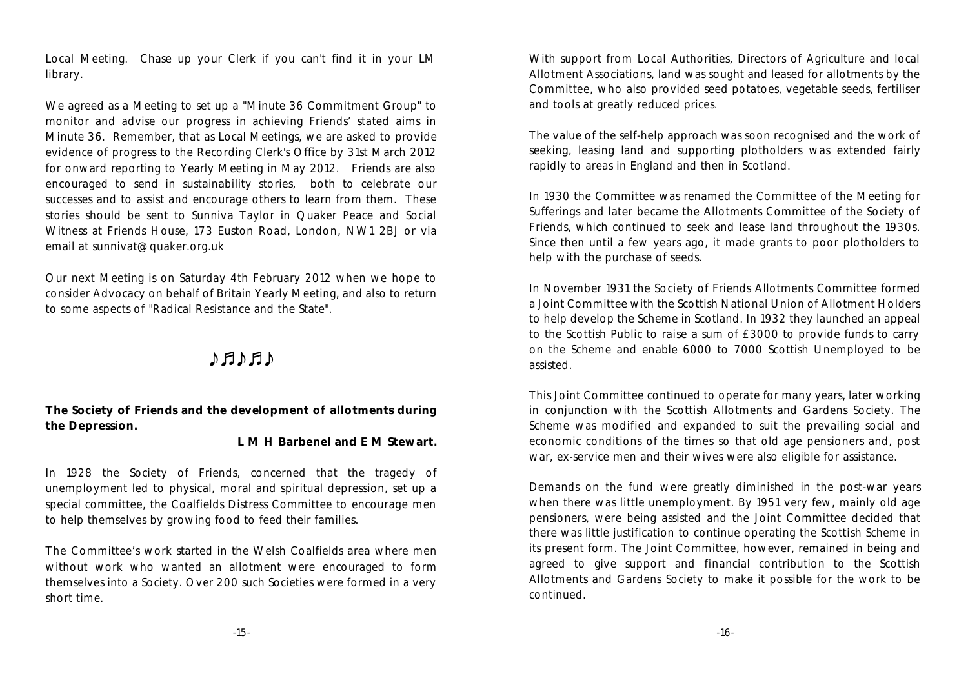Local Meeting. Chase up your Clerk if you can't find it in your LM library.

We agreed as a Meeting to set up a "Minute 36 Commitment Group" to monitor and advise our progress in achieving Friends' stated aims in Minute 36. Remember, that as Local Meetings, we are asked to provide evidence of progress to the Recording Clerk's Office by 31st March 2012 for onward reporting to Yearly Meeting in May 2012. Friends are also encouraged to send in sustainability stories, both to celebrate our successes and to assist and encourage others to learn from them. These stories should be sent to Sunniva Taylor in Quaker Peace and Social Witness at Friends House, 173 Euston Road, London, NW1 2BJ or via email at sunnivat@quaker.org.uk

Our next Meeting is on Saturday 4th February 2012 when we hope to consider Advocacy on behalf of Britain Yearly Meeting, and also to return to some aspects of "Radical Resistance and the State".

# $A H A H$

**The Society of Friends and the development of allotments during the Depression.**

**L M H Barbenel and E M Stewart.**

In 1928 the Society of Friends, concerned that the tragedy of unemployment led to physical, moral and spiritual depression, set up a special committee, the Coalfields Distress Committee to encourage men to help themselves by growing food to feed their families.

The Committee's work started in the Welsh Coalfields area where men without work who wanted an allotment were encouraged to form themselves into a Society. Over 200 such Societies were formed in a very short time.

With support from Local Authorities, Directors of Agriculture and local Allotment Associations, land was sought and leased for allotments by the Committee, who also provided seed potatoes, vegetable seeds, fertiliser and tools at greatly reduced prices.

The value of the self-help approach was soon recognised and the work of seeking, leasing land and supporting plotholders was extended fairly rapidly to areas in England and then in Scotland.

In 1930 the Committee was renamed the Committee of the Meeting for Sufferings and later became the Allotments Committee of the Society of Friends, which continued to seek and lease land throughout the 1930s. Since then until a few years ago, it made grants to poor plotholders to help with the purchase of seeds.

In November 1931 the Society of Friends Allotments Committee formed a Joint Committee with the Scottish National Union of Allotment Holders to help develop the Scheme in Scotland. In 1932 they launched an appeal to the Scottish Public to raise a sum of £3000 to provide funds to carry on the Scheme and enable 6000 to 7000 Scottish Unemployed to be assisted.

This Joint Committee continued to operate for many years, later working in conjunction with the Scottish Allotments and Gardens Society. The Scheme was modified and expanded to suit the prevailing social and economic conditions of the times so that old age pensioners and, post war, ex-service men and their wives were also eligible for assistance.

Demands on the fund were greatly diminished in the post-war years when there was little unemployment. By 1951 very few, mainly old age pensioners, were being assisted and the Joint Committee decided that there was little justification to continue operating the Scottish Scheme in its present form. The Joint Committee, however, remained in being and agreed to give support and financial contribution to the Scottish Allotments and Gardens Society to make it possible for the work to be continued.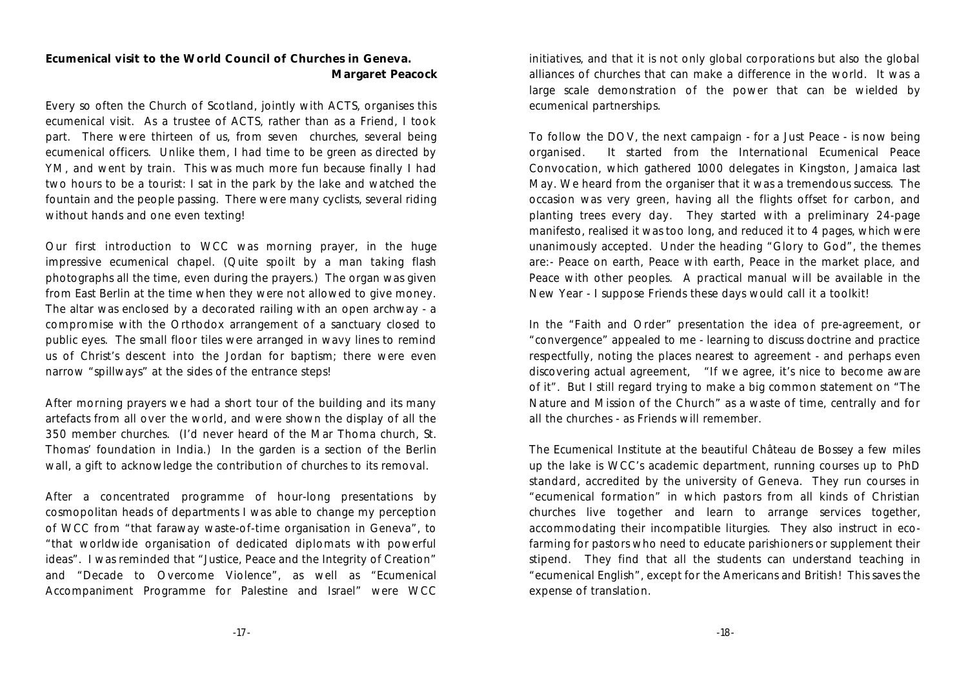**Ecumenical visit to the World Council of Churches in Geneva. Margaret Peacock**

Every so often the Church of Scotland, jointly with ACTS, organises this ecumenical visit. As a trustee of ACTS, rather than as a Friend, I took part. There were thirteen of us, from seven churches, several being ecumenical officers. Unlike them, I had time to be green as directed by YM, and went by train. This was much more fun because finally I had two hours to be a tourist: I sat in the park by the lake and watched the fountain and the people passing. There were many cyclists, several riding without hands and one even texting!

Our first introduction to WCC was morning prayer, in the huge impressive ecumenical chapel. (Quite spoilt by a man taking flash photographs all the time, even during the prayers.) The organ was given from East Berlin at the time when they were not allowed to give money. The altar was enclosed by a decorated railing with an open archway - a compromise with the Orthodox arrangement of a sanctuary closed to public eyes. The small floor tiles were arranged in wavy lines to remind us of Christ's descent into the Jordan for baptism; there were even narrow "spillways" at the sides of the entrance steps!

After morning prayers we had a short tour of the building and its many artefacts from all over the world, and were shown the display of all the 350 member churches. (I'd never heard of the Mar Thoma church, St. Thomas' foundation in India.) In the garden is a section of the Berlin wall, a gift to acknowledge the contribution of churches to its removal.

After a concentrated programme of hour-long presentations by cosmopolitan heads of departments I was able to change my perception of WCC from "that faraway waste-of-time organisation in Geneva", to "that worldwide organisation of dedicated diplomats with powerful ideas". I was reminded that "Justice, Peace and the Integrity of Creation" and "Decade to Overcome Violence", as well as "Ecumenical Accompaniment Programme for Palestine and Israel" were WCC

initiatives, and that it is not only global corporations but also the global alliances of churches that can make a difference in the world. It was a large scale demonstration of the power that can be wielded by ecumenical partnerships.

To follow the DOV, the next campaign - for a Just Peace - is now being organised. It started from the International Ecumenical Peace Convocation, which gathered 1000 delegates in Kingston, Jamaica last May. We heard from the organiser that *i*t was a tremendous success. The occasion was very green, having all the flights offset for carbon, and planting trees every day. They started with a preliminary 24-page manifesto, realised it was too long, and reduced it to 4 pages, which were unanimously accepted. Under the heading "Glory to God", the themes are:- Peace on earth, Peace with earth, Peace in the market place, and Peace with other peoples. A practical manual will be available in the New Year - I suppose Friends these days would call it a toolkit!

In the "Faith and Order" presentation the idea of pre-agreement, or "convergence" appealed to me - learning to discuss doctrine and practice respectfully, noting the places nearest to agreement - and perhaps even discovering actual agreement, "If we agree, it's nice to become aware of it". But I still regard trying to make a big common statement on "The Nature and Mission of the Church" as a waste of time, centrally and for all the churches - as Friends will remember.

The Ecumenical Institute at the beautiful Château de Bossey a few miles up the lake is WCC's academic department, running courses up to PhD standard, accredited by the university of Geneva. They run courses in "ecumenical formation" in which pastors from all kinds of Christian churches live together and learn to arrange services together, accommodating their incompatible liturgies. They also instruct in ecofarming for pastors who need to educate parishioners or supplement their stipend. They find that all the students can understand teaching in "ecumenical English", except for the Americans and British! This saves the expense of translation.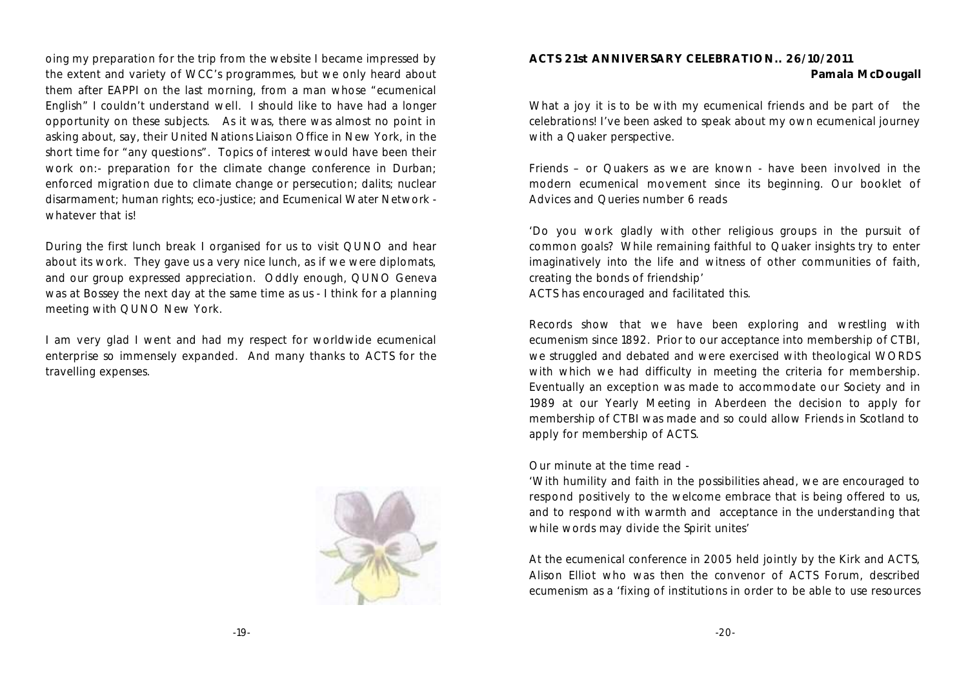oing my preparation for the trip from the website I became impressed by the extent and variety of WCC's programmes, but we only heard about them after EAPPI on the last morning, from a man whose "ecumenical English" I couldn't understand well. I should like to have had a longer opportunity on these subjects. As it was, there was almost no point in asking about, say, their United Nations Liaison Office in New York, in the short time for "any questions". Topics of interest would have been their work on:- preparation for the climate change conference in Durban; enforced migration due to climate change or persecution; dalits; nuclear disarmament; human rights; eco-justice; and Ecumenical Water Network whatever that is!

During the first lunch break I organised for us to visit QUNO and hear about its work. They gave us a very nice lunch, as if we were diplomats, and our group expressed appreciation. Oddly enough, QUNO Geneva was at Bossey the next day at the same time as us - I think for a planning meeting with QUNO New York.

I am very glad I went and had my respect for worldwide ecumenical enterprise so immensely expanded. And many thanks to ACTS for the travelling expenses.



#### **ACTS 21st ANNIVERSARY CELEBRATION.. 26/10/2011 Pamala McDougall**

What a joy it is to be with my ecumenical friends and be part of the celebrations! I've been asked to speak about my own ecumenical journey with a Quaker perspective.

Friends – or Quakers as we are known - have been involved in the modern ecumenical movement since its beginning. Our booklet of Advices and Queries number 6 reads

'Do you work gladly with other religious groups in the pursuit of common goals? While remaining faithful to Quaker insights try to enter imaginatively into the life and witness of other communities of faith, creating the bonds of friendship' ACTS has encouraged and facilitated this.

Records show that we have been exploring and wrestling with ecumenism since 1892. Prior to our acceptance into membership of CTBI, we struggled and debated and were exercised with theological WORDS with which we had difficulty in meeting the criteria for membership. Eventually an exception was made to accommodate our Society and in 1989 at our Yearly Meeting in Aberdeen the decision to apply for membership of CTBI was made and so could allow Friends in Scotland to apply for membership of ACTS.

Our minute at the time read -

'With humility and faith in the possibilities ahead, we are encouraged to respond positively to the welcome embrace that is being offered to us, and to respond with warmth and acceptance in the understanding that while words may divide the Spirit unites'

At the ecumenical conference in 2005 held jointly by the Kirk and ACTS, Alison Elliot who was then the convenor of ACTS Forum, described ecumenism as a 'fixing of institutions in order to be able to use resources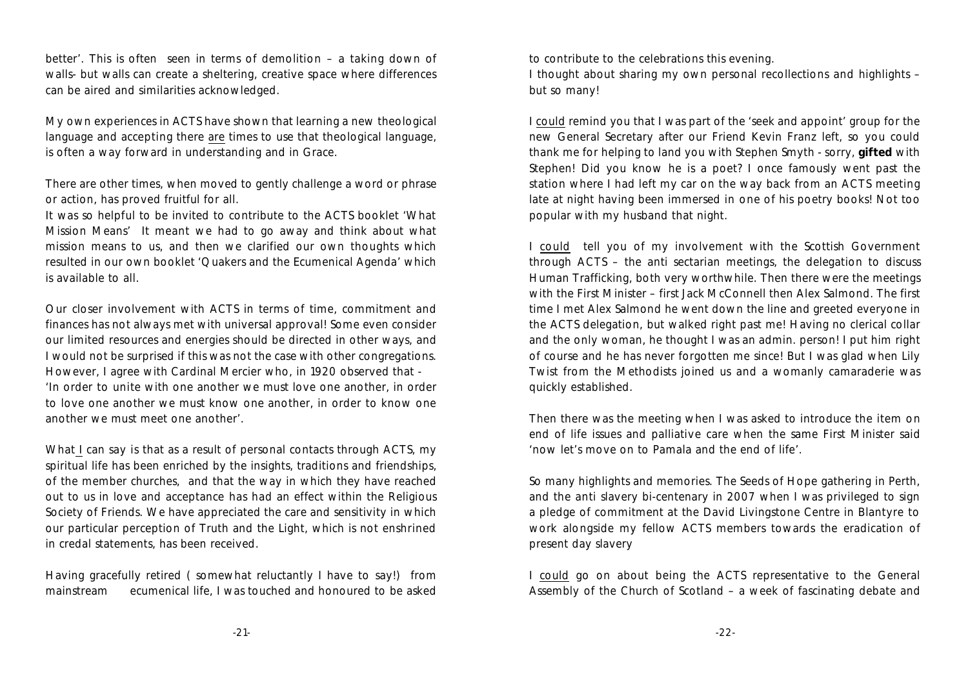better'. This is often seen in terms of demolition – a taking down of walls- but walls can create a sheltering, creative space where differences can be aired and similarities acknowledged.

My own experiences in ACTS have shown that learning a new theological language and accepting there are times to use that theological language, is often a way forward in understanding and in Grace.

There are other times, when moved to gently challenge a word or phrase or action, has proved fruitful for all.

It was so helpful to be invited to contribute to the ACTS booklet 'What Mission Means' It meant we had to go away and think about what mission means to us, and then we clarified our own thoughts which resulted in our own booklet 'Quakers and the Ecumenical Agenda' which is available to all.

Our closer involvement with ACTS in terms of time, commitment and finances has not always met with universal approval! Some even consider our limited resources and energies should be directed in other ways, and I would not be surprised if this was not the case with other congregations. However, I agree with Cardinal Mercier who, in 1920 observed that - 'In order to unite with one another we must love one another, in order to love one another we must know one another, in order to know one another we must meet one another'.

What I can say is that as a result of personal contacts through ACTS, my spiritual life has been enriched by the insights, traditions and friendships, of the member churches, and that the way in which they have reached out to us in love and acceptance has had an effect within the Religious Society of Friends. We have appreciated the care and sensitivity in which our particular perception of Truth and the Light, which is not enshrined in credal statements, has been received.

Having gracefully retired ( somewhat reluctantly I have to say!) from mainstream ecumenical life, I was touched and honoured to be asked

to contribute to the celebrations this evening.

I thought about sharing my own personal recollections and highlights – but so many!

I could remind you that I was part of the 'seek and appoint' group for the new General Secretary after our Friend Kevin Franz left, so you could thank me for helping to land you with Stephen Smyth - sorry, **gifted** with Stephen! Did you know he is a poet? I once famously went past the station where I had left my car on the way back from an ACTS meeting late at night having been immersed in one of his poetry books! Not too popular with my husband that night.

I could tell you of my involvement with the Scottish Government through ACTS – the anti sectarian meetings, the delegation to discuss Human Trafficking, both very worthwhile. Then there were the meetings with the First Minister – first Jack McConnell then Alex Salmond. The first time I met Alex Salmond he went down the line and greeted everyone in the ACTS delegation, but walked right past me! Having no clerical collar and the only woman, he thought I was an admin. person! I put him right of course and he has never forgotten me since! But I was glad when Lily Twist from the Methodists joined us and a womanly camaraderie was quickly established.

Then there was the meeting when I was asked to introduce the item on end of life issues and palliative care when the same First Minister said 'now let's move on to Pamala and the end of life'.

So many highlights and memories. The Seeds of Hope gathering in Perth, and the anti slavery bi-centenary in 2007 when I was privileged to sign a pledge of commitment at the David Livingstone Centre in Blantyre to work alongside my fellow ACTS members towards the eradication of present day slavery

I could go on about being the ACTS representative to the General Assembly of the Church of Scotland – a week of fascinating debate and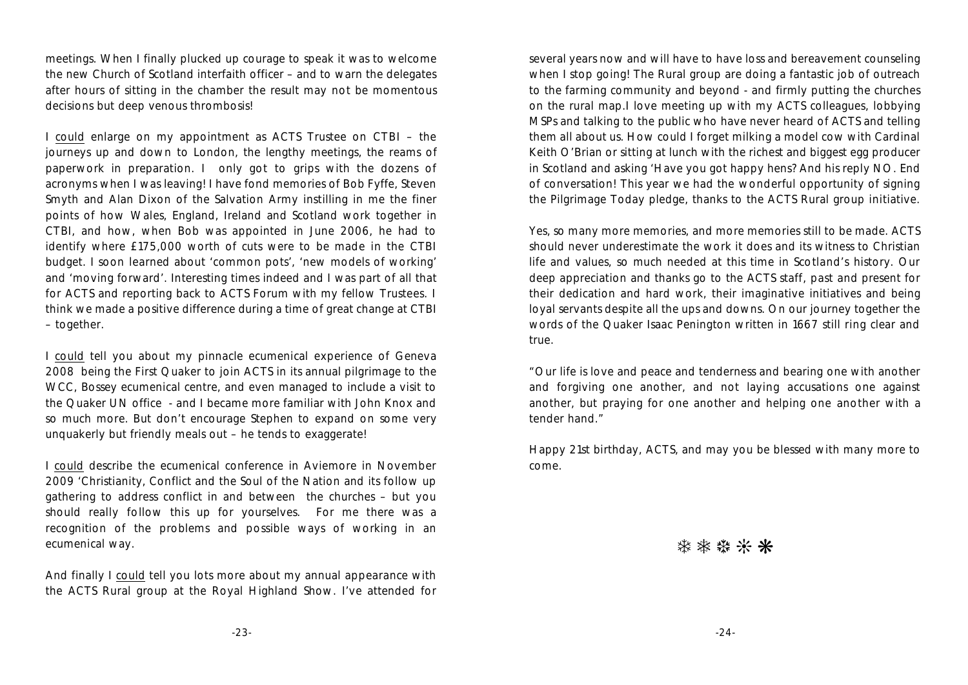meetings. When I finally plucked up courage to speak it was to welcome the new Church of Scotland interfaith officer – and to warn the delegates after hours of sitting in the chamber the result may not be momentous decisions but deep venous thrombosis!

I could enlarge on my appointment as ACTS Trustee on CTBI – the journeys up and down to London, the lengthy meetings, the reams of paperwork in preparation. I only got to grips with the dozens of acronyms when I was leaving! I have fond memories of Bob Fyffe, Steven Smyth and Alan Dixon of the Salvation Army instilling in me the finer points of how Wales, England, Ireland and Scotland work together in CTBI, and how, when Bob was appointed in June 2006, he had to identify where £175,000 worth of cuts were to be made in the CTBI budget. I soon learned about 'common pots', 'new models of working' and 'moving forward'. Interesting times indeed and I was part of all that for ACTS and reporting back to ACTS Forum with my fellow Trustees. I think we made a positive difference during a time of great change at CTBI – together.

I could tell you about my pinnacle ecumenical experience of Geneva 2008 being the First Quaker to join ACTS in its annual pilgrimage to the WCC, Bossey ecumenical centre, and even managed to include a visit to the Quaker UN office - and I became more familiar with John Knox and so much more. But don't encourage Stephen to expand on some very unquakerly but friendly meals out – he tends to exaggerate!

I could describe the ecumenical conference in Aviemore in November 2009 'Christianity, Conflict and the Soul of the Nation and its follow up gathering to address conflict in and between the churches – but you should really follow this up for yourselves. For me there was a recognition of the problems and possible ways of working in an ecumenical way.

And finally I could tell you lots more about my annual appearance with the ACTS Rural group at the Royal Highland Show. I've attended for several years now and will have to have loss and bereavement counseling when I stop going! The Rural group are doing a fantastic job of outreach to the farming community and beyond - and firmly putting the churches on the rural map.I love meeting up with my ACTS colleagues, lobbying MSPs and talking to the public who have never heard of ACTS and telling them all about us. How could I forget milking a model cow with Cardinal Keith O'Brian or sitting at lunch with the richest and biggest egg producer in Scotland and asking 'Have you got happy hens? And his reply NO. End of conversation! This year we had the wonderful opportunity of signing the Pilgrimage Today pledge, thanks to the ACTS Rural group initiative.

Yes, so many more memories, and more memories still to be made. ACTS should never underestimate the work it does and its witness to Christian life and values, so much needed at this time in Scotland's history. Our deep appreciation and thanks go to the ACTS staff, past and present for their dedication and hard work, their imaginative initiatives and being loyal servants despite all the ups and downs. On our journey together the words of the Quaker Isaac Penington written in 1667 still ring clear and true.

"Our life is love and peace and tenderness and bearing one with another and forgiving one another, and not laying accusations one against another, but praying for one another and helping one another with a tender hand."

Happy 21st birthday, ACTS, and may you be blessed with many more to come.

\*\*\*\*\*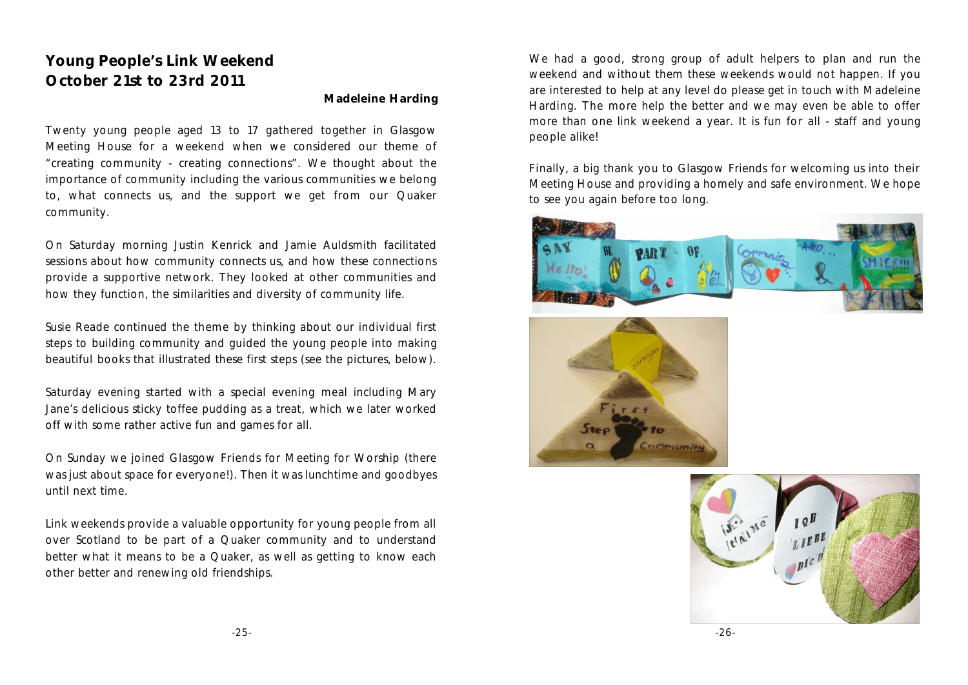# **Young People's Link Weekend October 21st to 23rd 2011**

#### **Madeleine Harding**

Twenty young people aged 13 to 17 gathered together in Glasgow Meeting House for a weekend when we considered our theme of "creating community - creating connections". We thought about the importance of community including the various communities we belong to, what connects us, and the support we get from our Quaker community.

On Saturday morning Justin Kenrick and Jamie Auldsmith facilitated sessions about how community connects us, and how these connections provide a supportive network. They looked at other communities and how they function, the similarities and diversity of community life.

Susie Reade continued the theme by thinking about our individual first steps to building community and guided the young people into making beautiful books that illustrated these first steps (see the pictures, below).

Saturday evening started with a special evening meal including Mary Jane's delicious sticky toffee pudding as a treat, which we later worked off with some rather active fun and games for all.

On Sunday we joined Glasgow Friends for Meeting for Worship (there was just about space for everyone!). Then it was lunchtime and goodbyes until next time.

Link weekends provide a valuable opportunity for young people from all over Scotland to be part of a Quaker community and to understand better what it means to be a Quaker, as well as getting to know each other better and renewing old friendships.

We had a good, strong group of adult helpers to plan and run the weekend and without them these weekends would not happen. If you are interested to help at any level do please get in touch with Madeleine Harding. The more help the better and we may even be able to offer more than one link weekend a year. It is fun for all - staff and young people alike!

Finally, a big thank you to Glasgow Friends for welcoming us into their Meeting House and providing a homely and safe environment. We hope to see you again before too long.





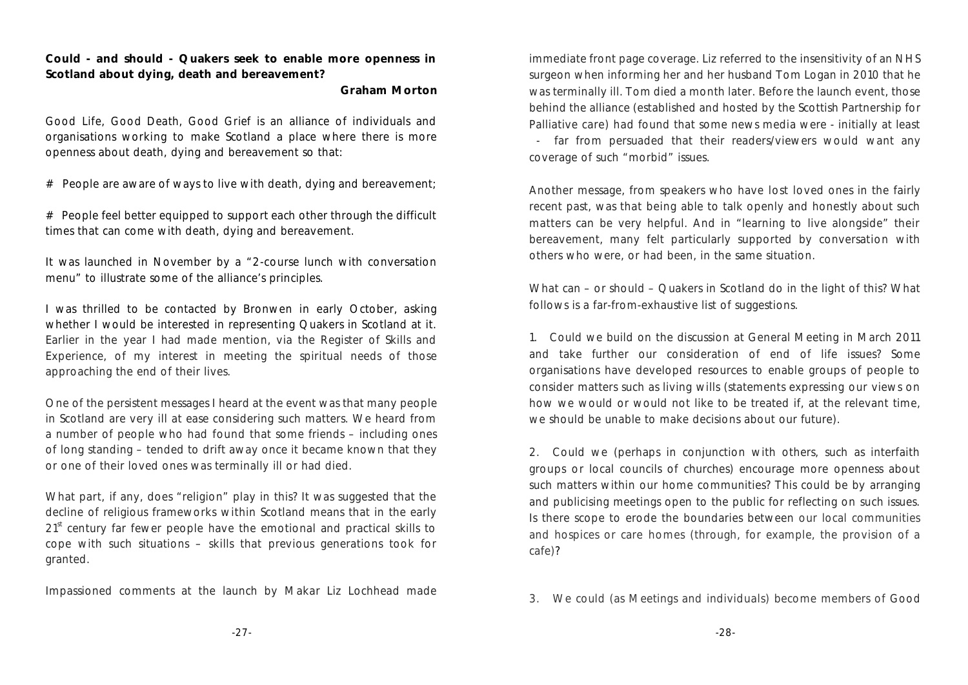**Could - and should - Quakers seek to enable more openness in Scotland about dying, death and bereavement?** 

**Graham Morton**

*Good Life, Good Death, Good Grief* is an alliance of individuals and organisations working to make Scotland a place where there is more openness about death, dying and bereavement so that:

 $#$  People are aware of ways to live with death, dying and bereavement;

# People feel better equipped to support each other through the difficult times that can come with death, dying and bereavement.

It was launched in November by a "2-course lunch with conversation menu" to illustrate some of the alliance's principles.

I was thrilled to be contacted by Bronwen in early October, asking whether I would be interested in representing Quakers in Scotland at it. Earlier in the year I had made mention, via the Register of Skills and Experience, of my interest in meeting the spiritual needs of those approaching the end of their lives.

One of the persistent messages I heard at the event was that many people in Scotland are very ill at ease considering such matters. We heard from a number of people who had found that some friends – including ones of long standing – tended to drift away once it became known that they or one of their loved ones was terminally ill or had died.

What part, if any, does "religion" play in this? It was suggested that the decline of religious frameworks within Scotland means that in the early 21<sup>st</sup> century far fewer people have the emotional and practical skills to cope with such situations – skills that previous generations took for granted.

Impassioned comments at the launch by Makar Liz Lochhead made

immediate front page coverage. Liz referred to the insensitivity of an NHS surgeon when informing her and her husband Tom Logan in 2010 that he was terminally ill. Tom died a month later. Before the launch event, those behind the alliance (established and hosted by the Scottish Partnership for Palliative care) had found that some news media were - initially at least - far from persuaded that their readers/viewers would want any coverage of such "morbid" issues.

Another message, from speakers who have lost loved ones in the fairly recent past, was that being able to talk openly and honestly about such matters can be very helpful. And in "learning to live alongside" their bereavement, many felt particularly supported by conversation with others who were, or had been, in the same situation.

What can – or should – Quakers in Scotland do in the light of this? What follows is a far-from-exhaustive list of suggestions.

1. Could we build on the discussion at General Meeting in March 2011 and take further our consideration of end of life issues? Some organisations have developed resources to enable groups of people to consider matters such as living wills (statements expressing our views on how we would or would not like to be treated if, at the relevant time, we should be unable to make decisions about our future).

2. Could we (perhaps in conjunction with others, such as interfaith groups or local councils of churches) encourage more openness about such matters within our home communities? This could be by arranging and publicising meetings open to the public for reflecting on such issues. Is there scope to erode the boundaries between our local communities and hospices or care homes (through, for example, the provision of a cafe)?

3. We could (as Meetings and individuals) become members of *Good*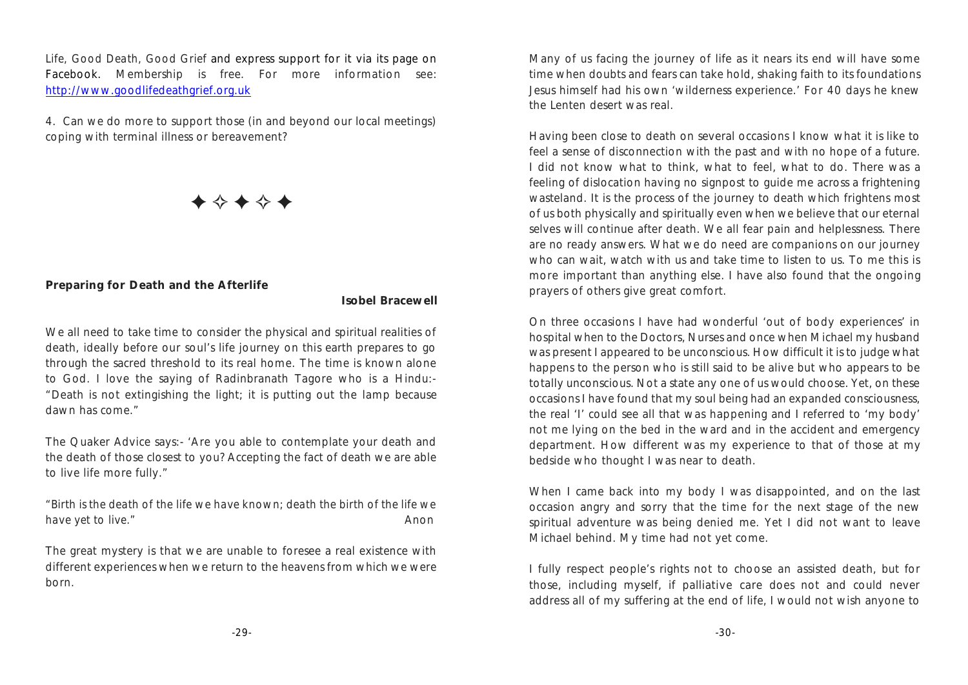*Life, Good Death, Good Grief* and express support for it via its page on Facebook. Membership is free. For more information see: [http://www.goodlifedeathgrief.org.uk](http://www.goodlifedeathgrief.org.uk/)

4. Can we do more to support those (in and beyond our local meetings) coping with terminal illness or bereavement?

 $\blacklozenge$   $\rightsquigarrow$   $\rightsquigarrow$   $\rightsquigarrow$ 

**Preparing for Death and the Afterlife**

**Isobel Bracewell**

We all need to take time to consider the physical and spiritual realities of death, ideally before our soul's life journey on this earth prepares to go through the sacred threshold to its real home. The time is known alone to God. I love the saying of Radinbranath Tagore who is a Hindu:- "Death is not extingishing the light; it is putting out the lamp because dawn has come."

The Quaker Advice says:- 'Are you able to contemplate your death and the death of those closest to you? Accepting the fact of death we are able to live life more fully."

*"Birth is the death of the life we have known; death the birth of the life we have yet to live."* Anon **Anon Anon Anon Anon Anon** 

The great mystery is that we are unable to foresee a real existence with different experiences when we return to the heavens from which we were born.

Many of us facing the journey of life as it nears its end will have some time when doubts and fears can take hold, shaking faith to its foundations Jesus himself had his own 'wilderness experience.' For 40 days he knew the Lenten desert was real.

Having been close to death on several occasions I know what it is like to feel a sense of disconnection with the past and with no hope of a future. I did not know what to think, what to feel, what to do. There was a feeling of dislocation having no signpost to guide me across a frightening wasteland. It is the process of the journey to death which frightens most of us both physically and spiritually even when we believe that our eternal selves will continue after death. We all fear pain and helplessness. There are no ready answers. What we do need are companions on our journey who can wait, watch with us and take time to listen to us. To me this is more important than anything else. I have also found that the ongoing prayers of others give great comfort.

On three occasions I have had wonderful 'out of body experiences' in hospital when to the Doctors, Nurses and once when Michael my husband was present I appeared to be unconscious. How difficult it is to judge what happens to the person who is still said to be alive but who appears to be totally unconscious. Not a state any one of us would choose. Yet, on these occasions I have found that my soul being had an expanded consciousness, the real 'I' could see all that was happening and I referred to 'my body' not me lying on the bed in the ward and in the accident and emergency department. How different was my experience to that of those at my bedside who thought I was near to death.

When I came back into my body I was disappointed, and on the last occasion angry and sorry that the time for the next stage of the new spiritual adventure was being denied me. Yet I did not want to leave Michael behind. My time had not yet come.

I fully respect people's rights not to choose an assisted death, but for those, including myself, if palliative care does not and could never address all of my suffering at the end of life, I would not wish anyone to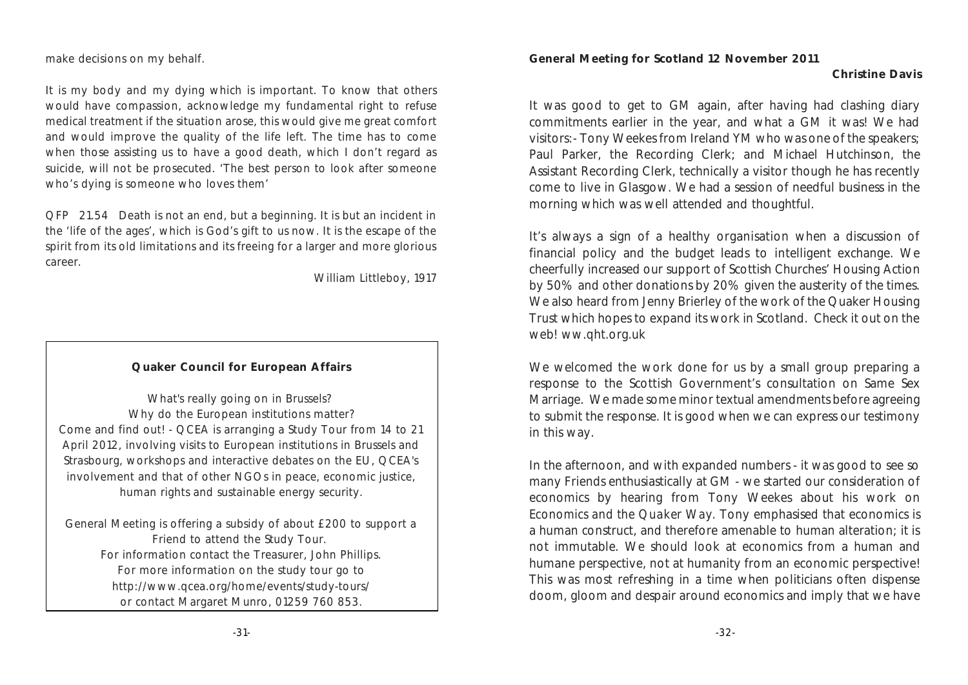make decisions on my behalf.

It is my body and my dying which is important. To know that others would have compassion, acknowledge my fundamental right to refuse medical treatment if the situation arose, this would give me great comfort and would improve the quality of the life left. The time has to come when those assisting us to have a good death, which I don't regard as suicide, will not be prosecuted. 'The best person to look after someone who's dying is someone who loves them'

QFP 21.54 Death is not an end, but a beginning. It is but an incident in the 'life of the ages', which is God's gift to us now. It is the escape of the spirit from its old limitations and its freeing for a larger and more glorious career.

William Littleboy, 1917

#### **Quaker Council for European Affairs**

What's really going on in Brussels? Why do the European institutions matter? Come and find out! - QCEA is arranging a Study Tour from 14 to 21 April 2012, involving visits to European institutions in Brussels and Strasbourg, workshops and interactive debates on the EU, QCEA's involvement and that of other NGOs in peace, economic justice, human rights and sustainable energy security.

General Meeting is offering a subsidy of about £200 to support a Friend to attend the Study Tour. For information contact the Treasurer, John Phillips. For more information on the study tour go to http://www.qcea.org/home/events/study-tours/ or contact Margaret Munro, 01259 760 853.

**General Meeting for Scotland 12 November 2011** 

#### **Christine Davis**

It was good to get to GM again, after having had clashing diary commitments earlier in the year, and what a GM it was! We had visitors:- Tony Weekes from Ireland YM who was one of the speakers; Paul Parker, the Recording Clerk; and Michael Hutchinson, the Assistant Recording Clerk, technically a visitor though he has recently come to live in Glasgow. We had a session of needful business in the morning which was well attended and thoughtful.

It's always a sign of a healthy organisation when a discussion of financial policy and the budget leads to intelligent exchange. We cheerfully increased our support of Scottish Churches' Housing Action by 50% and other donations by 20% given the austerity of the times. We also heard from Jenny Brierley of the work of the Quaker Housing Trust which hopes to expand its work in Scotland. Check it out on the web! ww.qht.org.uk

We welcomed the work done for us by a small group preparing a response to the Scottish Government's consultation on Same Sex Marriage. We made some minor textual amendments before agreeing to submit the response. It is good when we can express our testimony in this way.

In the afternoon, and with expanded numbers - it was good to see so many Friends enthusiastically at GM - we started our consideration of economics by hearing from Tony Weekes about his work on *Economics and the Quaker Way.* Tony emphasised that economics is a human construct, and therefore amenable to human alteration; it is not immutable. We should look at economics from a human and humane perspective, not at humanity from an economic perspective! This was most refreshing in a time when politicians often dispense doom, gloom and despair around economics and imply that we have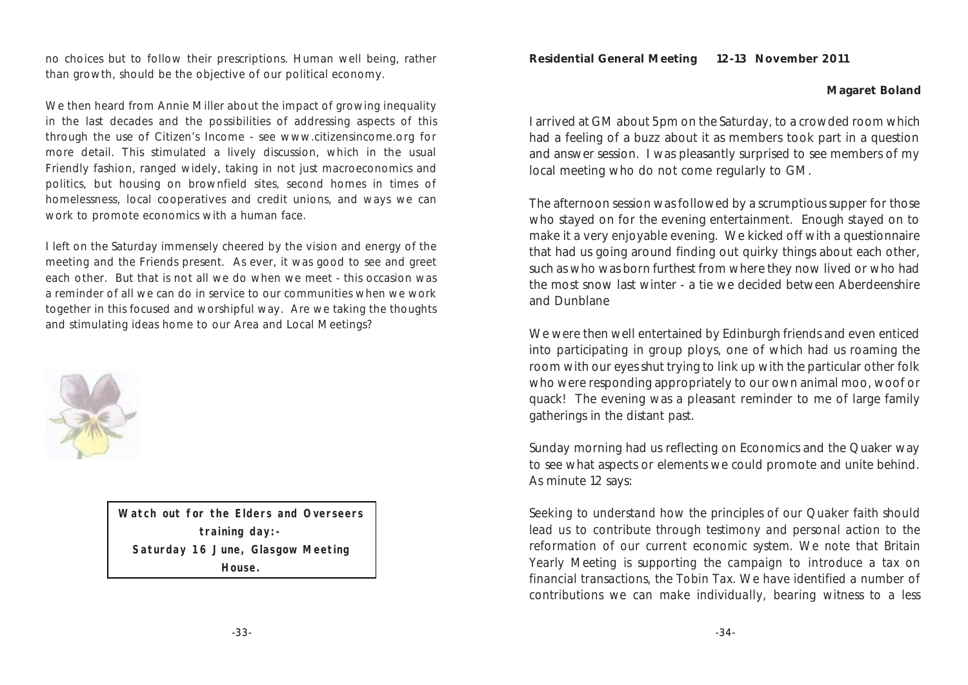no choices but to follow their prescriptions. Human well being, rather than growth, should be the objective of our political economy.

We then heard from Annie Miller about the impact of growing inequality in the last decades and the possibilities of addressing aspects of this through the use of Citizen's Income - see www.citizensincome.org for more detail. This stimulated a lively discussion, which in the usual Friendly fashion, ranged widely, taking in not just macroeconomics and politics, but housing on brownfield sites, second homes in times of homelessness, local cooperatives and credit unions, and ways we can work to promote economics with a human face.

I left on the Saturday immensely cheered by the vision and energy of the meeting and the Friends present. As ever, it was good to see and greet each other. But that is not all we do when we meet - this occasion was a reminder of all we can do in service to our communities when we work together in this focused and worshipful way. Are we taking the thoughts and stimulating ideas home to our Area and Local Meetings?



**Watch out for the Elders and Overseers training day:- Saturday 16 June, Glasgow Meeting House.**

**Residential General Meeting 12-13 November 2011**

#### **Magaret Boland**

I arrived at GM about 5pm on the Saturday, to a crowded room which had a feeling of a buzz about it as members took part in a question and answer session. I was pleasantly surprised to see members of my local meeting who do not come regularly to GM.

The afternoon session was followed by a scrumptious supper for those who stayed on for the evening entertainment. Enough stayed on to make it a very enjoyable evening. We kicked off with a questionnaire that had us going around finding out quirky things about each other, such as who was born furthest from where they now lived or who had the most snow last winter - a tie we decided between Aberdeenshire and Dunblane

We were then well entertained by Edinburgh friends and even enticed into participating in group ploys, one of which had us roaming the room with our eyes shut trying to link up with the particular other folk who were responding appropriately to our own animal moo, woof or quack! The evening was a pleasant reminder to me of large family gatherings in the distant past.

Sunday morning had us reflecting on Economics and the Quaker way to see what aspects or elements we could promote and unite behind. As minute 12 says:

*Seeking to understand how the principles of our Quaker faith should lead us to contribute through testimony and personal action to the reformation of our current economic system. We note that Britain Yearly Meeting is supporting the campaign to introduce a tax on financial transactions, the Tobin Tax. We have identified a number of contributions we can make individually, bearing witness to a less*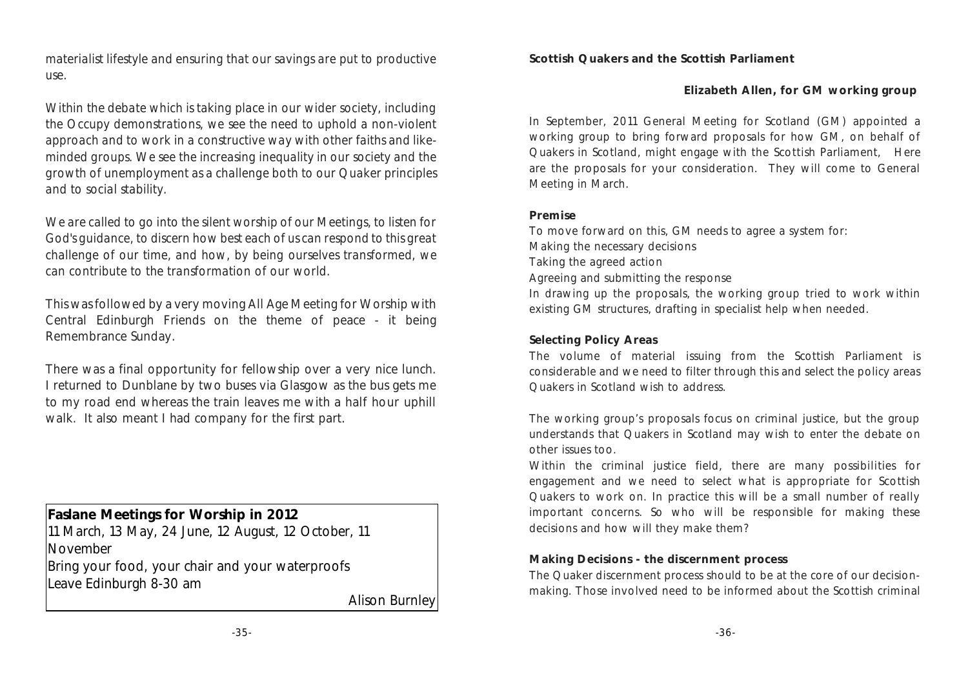*materialist lifestyle and ensuring that our savings are put to productive use.*

*Within the debate which is taking place in our wider society, including the Occupy demonstrations, we see the need to uphold a non-violent approach and to work in a constructive way with other faiths and likeminded groups. We see the increasing inequality in our society and the growth of unemployment as a challenge both to our Quaker principles and to social stability.*

*We are called to go into the silent worship of our Meetings, to listen for God's guidance, to discern how best each of us can respond to this great challenge of our time, and how, by being ourselves transformed, we can contribute to the transformation of our world.*

This was followed by a very moving All Age Meeting for Worship with Central Edinburgh Friends on the theme of peace - it being Remembrance Sunday.

There was a final opportunity for fellowship over a very nice lunch. I returned to Dunblane by two buses via Glasgow as the bus gets me to my road end whereas the train leaves me with a half hour uphill walk. It also meant I had company for the first part.

**Faslane Meetings for Worship in 2012**  11 March, 13 May, 24 June, 12 August, 12 October, 11 November Bring your food, your chair and your waterproofs Leave Edinburgh 8-30 am

Alison Burnley

**Scottish Quakers and the Scottish Parliament**

**Elizabeth Allen, for GM working group** 

In September, 2011 General Meeting for Scotland (GM) appointed a working group to bring forward proposals for how GM, on behalf of Quakers in Scotland, might engage with the Scottish Parliament, Here are the proposals for your consideration. They will come to General Meeting in March.

#### **Premise**

To move forward on this, GM needs to agree a system for: Making the necessary decisions Taking the agreed action Agreeing and submitting the response In drawing up the proposals, the working group tried to work within existing GM structures, drafting in specialist help when needed.

#### **Selecting Policy Areas**

The volume of material issuing from the Scottish Parliament is considerable and we need to filter through this and select the policy areas Quakers in Scotland wish to address.

The working group's proposals focus on criminal justice, but the group understands that Quakers in Scotland may wish to enter the debate on other issues too.

Within the criminal justice field, there are many possibilities for engagement and we need to select what is appropriate for Scottish Quakers to work on. In practice this will be a small number of really important concerns. So who will be responsible for making these decisions and how will they make them?

#### **Making Decisions - the discernment process**

The Quaker discernment process should to be at the core of our decisionmaking. Those involved need to be informed about the Scottish criminal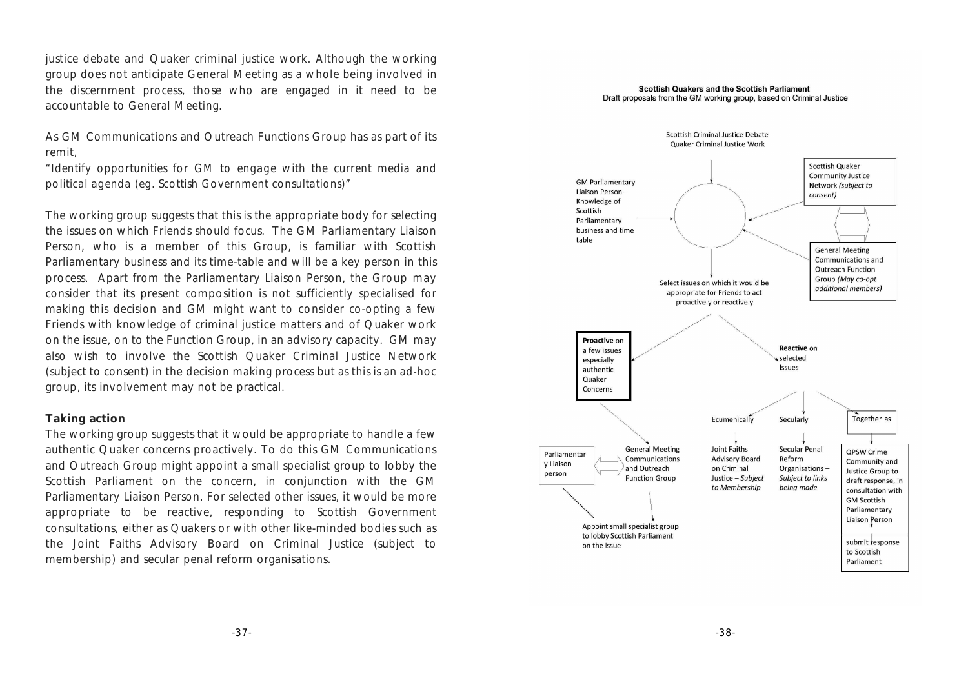justice debate and Quaker criminal justice work. Although the working group does not anticipate General Meeting as a whole being involved in the discernment process, those who are engaged in it need to be accountable to General Meeting.

As GM Communications and Outreach Functions Group has as part of its remit,

*"Identify opportunities for GM to engage with the current media and political agenda (eg. Scottish Government consultations)"*

The working group suggests that this is the appropriate body for selecting the issues on which Friends should focus. The GM Parliamentary Liaison Person, who is a member of this Group, is familiar with Scottish Parliamentary business and its time-table and will be a key person in this process. Apart from the Parliamentary Liaison Person, the Group may consider that its present composition is not sufficiently specialised for making this decision and GM might want to consider co-opting a few Friends with knowledge of criminal justice matters and of Quaker work on the issue, on to the Function Group, in an advisory capacity. GM may also wish to involve the Scottish Quaker Criminal Justice Network (subject to consent) in the decision making process but as this is an ad-hoc group, its involvement may not be practical.

#### **Taking action**

The working group suggests that it would be appropriate to handle a few authentic Quaker concerns proactively. To do this GM Communications and Outreach Group might appoint a small specialist group to lobby the Scottish Parliament on the concern, in conjunction with the GM Parliamentary Liaison Person. For selected other issues, it would be more appropriate to be reactive, responding to Scottish Government consultations, either as Quakers or with other like-minded bodies such as the Joint Faiths Advisory Board on Criminal Justice (subject to membership) and secular penal reform organisations.

#### Scottish Quakers and the Scottish Parliament Draft proposals from the GM working group, based on Criminal Justice